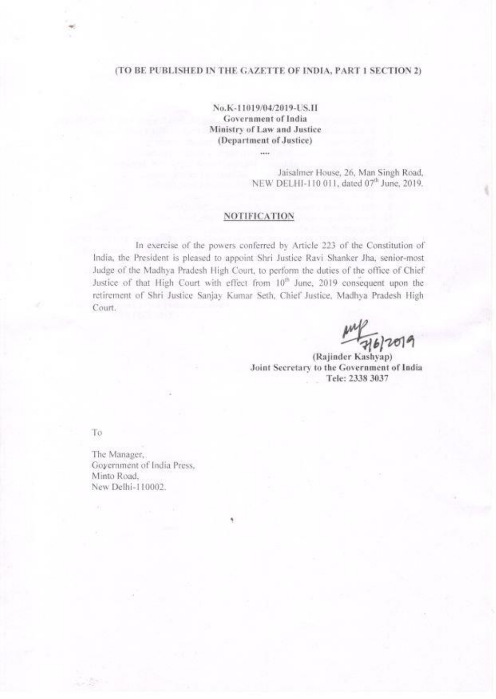# (TO BE PUBLISHED IN THE GAZETTE OF INDIA, PART I SECTION 2)

No.K-11019/04/2019-US.II **Government of India** Ministry of Law and Justice (Department of Justice)

 $\cdots$ 

Jaisalmer House, 26, Man Singh Road, NEW DELHI-110 011, dated 07<sup>th</sup> June, 2019.

## **NOTIFICATION**

In exercise of the powers conferred by Article 223 of the Constitution of India, the President is pleased to appoint Shri Justice Ravi Shanker Jha, senior-most Judge of the Madhya Pradesh High Court, to perform the duties of the office of Chief Justice of that High Court with effect from 10<sup>th</sup> June, 2019 consequent upon the retirement of Shri Justice Sanjay Kumar Seth, Chief Justice, Madhya Pradesh High Court.

 $\frac{1}{46}$ 

(Rajinder Kashyap) Joint Secretary to the Government of India Tele: 2338 3037

To

The Manager, Goyernment of India Press, Minto Road, New Delhi-110002.